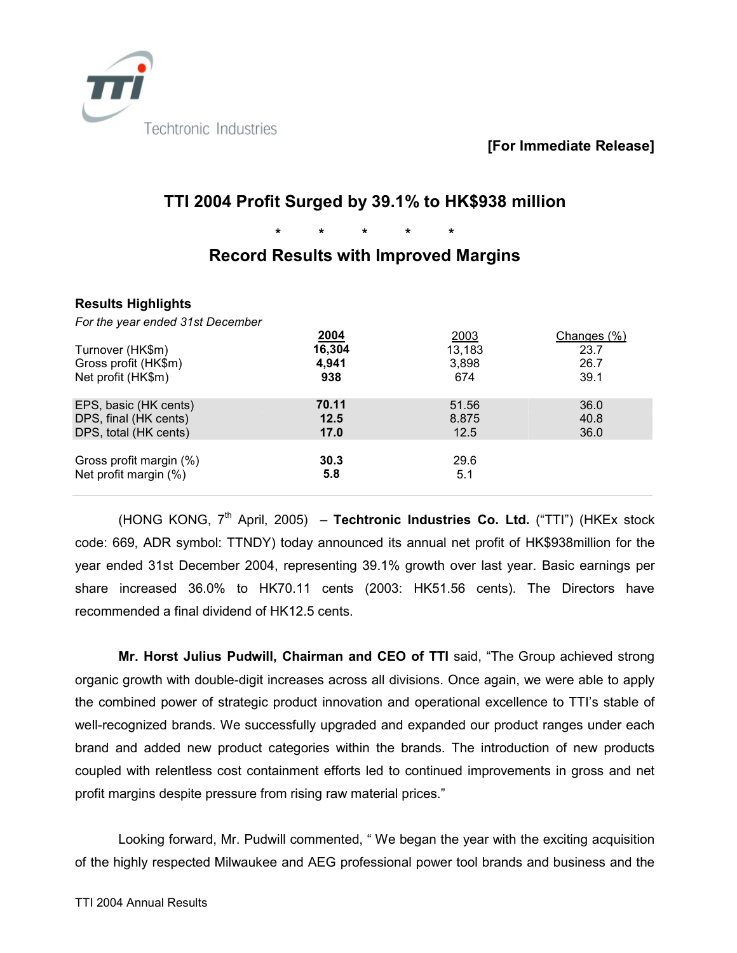

**[For Immediate Release]**

# **TTI 2004 Profit Surged by 39.1% to HK\$938 million**

**\* \* \* \* \*** 

## **Record Results with Improved Margins**

### **Results Highlights**

*For the year ended 31st December* 

|                         | 2004   | 2003   | Changes (%) |
|-------------------------|--------|--------|-------------|
| Turnover (HK\$m)        | 16,304 | 13,183 | 23.7        |
| Gross profit (HK\$m)    | 4,941  | 3.898  | 26.7        |
| Net profit (HK\$m)      | 938    | 674    | 39.1        |
| EPS, basic (HK cents)   | 70.11  | 51.56  | 36.0        |
| DPS, final (HK cents)   | 12.5   | 8.875  | 40.8        |
| DPS, total (HK cents)   | 17.0   | 12.5   | 36.0        |
| Gross profit margin (%) | 30.3   | 29.6   |             |
| Net profit margin (%)   | 5.8    | 5.1    |             |

(HONG KONG, 7th April, 2005) – **Techtronic Industries Co. Ltd.** ("TTI") (HKEx stock code: 669, ADR symbol: TTNDY) today announced its annual net profit of HK\$938million for the year ended 31st December 2004, representing 39.1% growth over last year. Basic earnings per share increased 36.0% to HK70.11 cents (2003: HK51.56 cents). The Directors have recommended a final dividend of HK12.5 cents.

**Mr. Horst Julius Pudwill, Chairman and CEO of TTI** said, "The Group achieved strong organic growth with double-digit increases across all divisions. Once again, we were able to apply the combined power of strategic product innovation and operational excellence to TTI's stable of well-recognized brands. We successfully upgraded and expanded our product ranges under each brand and added new product categories within the brands. The introduction of new products coupled with relentless cost containment efforts led to continued improvements in gross and net profit margins despite pressure from rising raw material prices."

Looking forward, Mr. Pudwill commented, " We began the year with the exciting acquisition of the highly respected Milwaukee and AEG professional power tool brands and business and the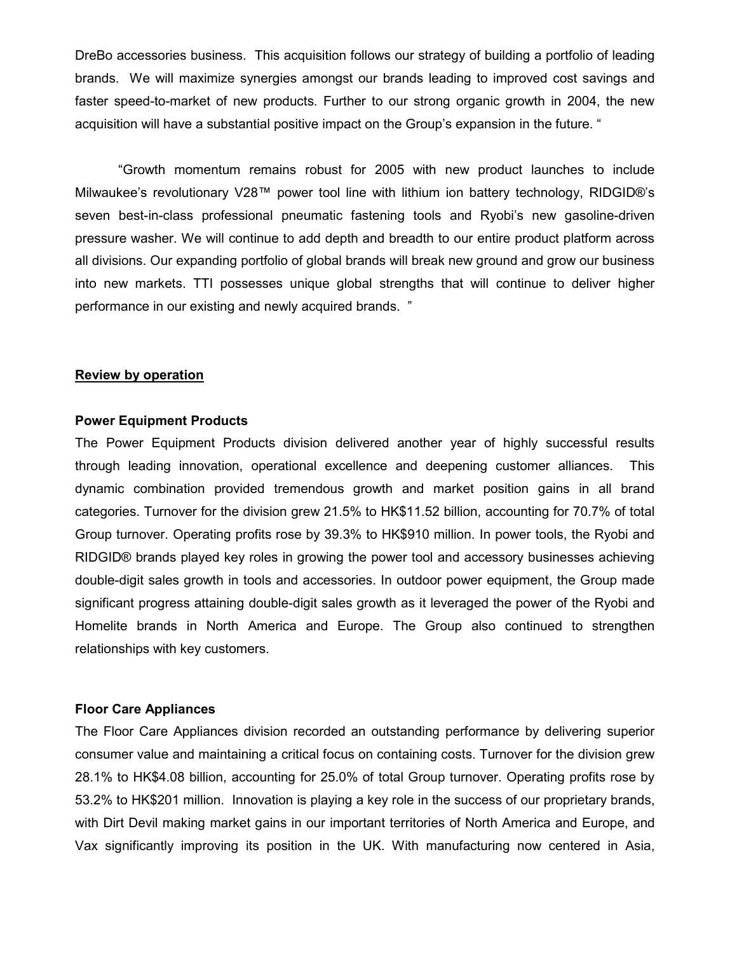DreBo accessories business. This acquisition follows our strategy of building a portfolio of leading brands. We will maximize synergies amongst our brands leading to improved cost savings and faster speed-to-market of new products. Further to our strong organic growth in 2004, the new acquisition will have a substantial positive impact on the Group's expansion in the future. "

"Growth momentum remains robust for 2005 with new product launches to include Milwaukee's revolutionary V28™ power tool line with lithium ion battery technology, RIDGID®'s seven best-in-class professional pneumatic fastening tools and Ryobi's new gasoline-driven pressure washer. We will continue to add depth and breadth to our entire product platform across all divisions. Our expanding portfolio of global brands will break new ground and grow our business into new markets. TTI possesses unique global strengths that will continue to deliver higher performance in our existing and newly acquired brands. "

#### **Review by operation**

#### **Power Equipment Products**

The Power Equipment Products division delivered another year of highly successful results through leading innovation, operational excellence and deepening customer alliances. This dynamic combination provided tremendous growth and market position gains in all brand categories. Turnover for the division grew 21.5% to HK\$11.52 billion, accounting for 70.7% of total Group turnover. Operating profits rose by 39.3% to HK\$910 million. In power tools, the Ryobi and RIDGID® brands played key roles in growing the power tool and accessory businesses achieving double-digit sales growth in tools and accessories. In outdoor power equipment, the Group made significant progress attaining double-digit sales growth as it leveraged the power of the Ryobi and Homelite brands in North America and Europe. The Group also continued to strengthen relationships with key customers.

#### **Floor Care Appliances**

The Floor Care Appliances division recorded an outstanding performance by delivering superior consumer value and maintaining a critical focus on containing costs. Turnover for the division grew 28.1% to HK\$4.08 billion, accounting for 25.0% of total Group turnover. Operating profits rose by 53.2% to HK\$201 million. Innovation is playing a key role in the success of our proprietary brands, with Dirt Devil making market gains in our important territories of North America and Europe, and Vax significantly improving its position in the UK. With manufacturing now centered in Asia,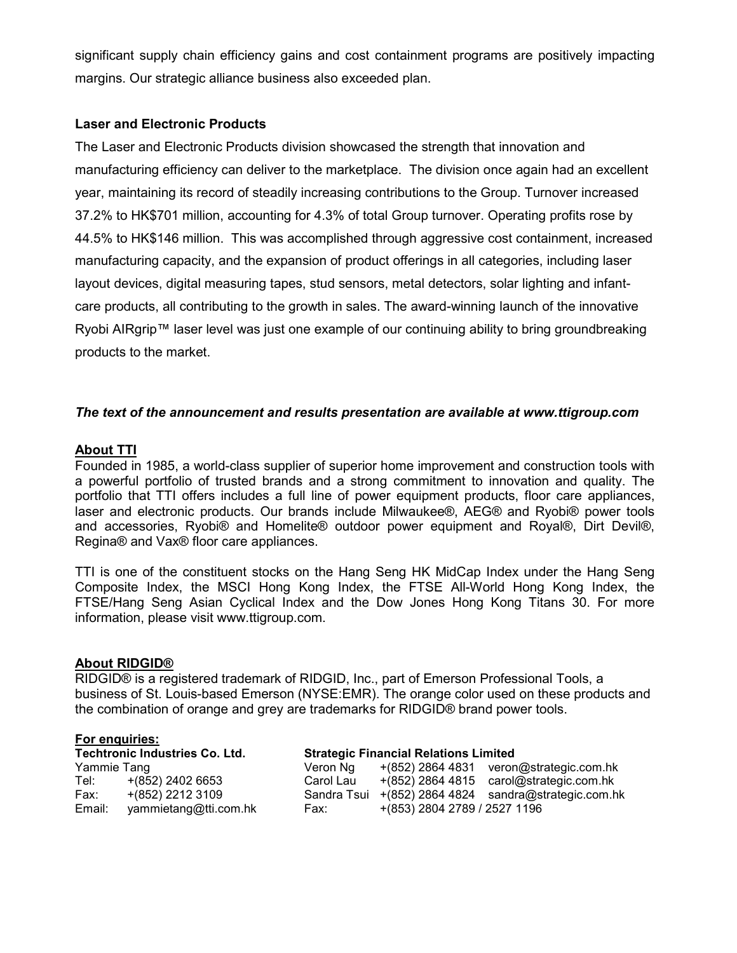significant supply chain efficiency gains and cost containment programs are positively impacting margins. Our strategic alliance business also exceeded plan.

### **Laser and Electronic Products**

The Laser and Electronic Products division showcased the strength that innovation and manufacturing efficiency can deliver to the marketplace. The division once again had an excellent year, maintaining its record of steadily increasing contributions to the Group. Turnover increased 37.2% to HK\$701 million, accounting for 4.3% of total Group turnover. Operating profits rose by 44.5% to HK\$146 million. This was accomplished through aggressive cost containment, increased manufacturing capacity, and the expansion of product offerings in all categories, including laser layout devices, digital measuring tapes, stud sensors, metal detectors, solar lighting and infantcare products, all contributing to the growth in sales. The award-winning launch of the innovative Ryobi AIRgrip™ laser level was just one example of our continuing ability to bring groundbreaking products to the market.

### *The text of the announcement and results presentation are available at www.ttigroup.com*

### **About TTI**

Founded in 1985, a world-class supplier of superior home improvement and construction tools with a powerful portfolio of trusted brands and a strong commitment to innovation and quality. The portfolio that TTI offers includes a full line of power equipment products, floor care appliances, laser and electronic products. Our brands include Milwaukee®, AEG® and Ryobi® power tools and accessories, Ryobi® and Homelite® outdoor power equipment and Royal®, Dirt Devil®, Regina® and Vax® floor care appliances.

TTI is one of the constituent stocks on the Hang Seng HK MidCap Index under the Hang Seng Composite Index, the MSCI Hong Kong Index, the FTSE All-World Hong Kong Index, the FTSE/Hang Seng Asian Cyclical Index and the Dow Jones Hong Kong Titans 30. For more information, please visit www.ttigroup.com.

#### **About RIDGID®**

RIDGID® is a registered trademark of RIDGID, Inc., part of Emerson Professional Tools, a business of St. Louis-based Emerson (NYSE:EMR). The orange color used on these products and the combination of orange and grey are trademarks for RIDGID® brand power tools.

#### **For enquiries:**

| .           |                                |                                              |                              |                                            |
|-------------|--------------------------------|----------------------------------------------|------------------------------|--------------------------------------------|
|             | Techtronic Industries Co. Ltd. | <b>Strategic Financial Relations Limited</b> |                              |                                            |
| Yammie Tang |                                | Veron Ng                                     |                              | $+(852)$ 2864 4831 veron@strategic.com.hk  |
| Tel:        | +(852) 2402 6653               | Carol Lau                                    |                              | $+(852)$ 2864 4815 carol@strategic.com.hk  |
| Fax:        | +(852) 2212 3109               | Sandra Tsui                                  |                              | $+(852)$ 2864 4824 sandra@strategic.com.hk |
| Email:      | yammietang@tti.com.hk          | Fax:                                         | +(853) 2804 2789 / 2527 1196 |                                            |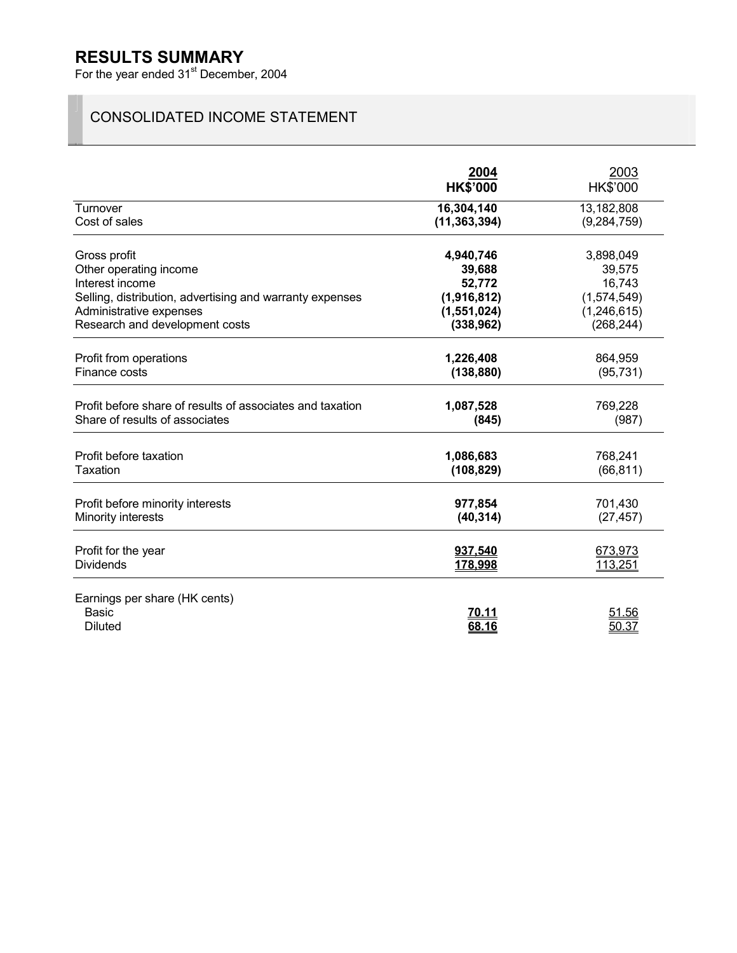## **RESULTS SUMMARY**

For the year ended 31<sup>st</sup> December, 2004

## CONSOLIDATED INCOME STATEMENT

|                                                                 | 2004<br><b>HK\$'000</b> | 2003<br>HK\$'000 |
|-----------------------------------------------------------------|-------------------------|------------------|
| Turnover                                                        | 16,304,140              | 13,182,808       |
| Cost of sales                                                   | (11, 363, 394)          | (9, 284, 759)    |
| Gross profit                                                    | 4,940,746               | 3,898,049        |
| Other operating income                                          | 39,688                  | 39,575           |
| Interest income                                                 | 52,772                  | 16,743           |
| Selling, distribution, advertising and warranty expenses        | (1,916,812)             | (1,574,549)      |
| Administrative expenses                                         | (1,551,024)             | (1, 246, 615)    |
| Research and development costs                                  | (338, 962)              | (268, 244)       |
| Profit from operations                                          | 1,226,408               | 864,959          |
| Finance costs                                                   | (138, 880)              | (95, 731)        |
| Profit before share of results of associates and taxation       | 1,087,528               | 769,228          |
| Share of results of associates                                  | (845)                   | (987)            |
| Profit before taxation                                          | 1,086,683               | 768,241          |
| Taxation                                                        | (108, 829)              | (66, 811)        |
| Profit before minority interests                                | 977,854                 | 701,430          |
| Minority interests                                              | (40, 314)               | (27, 457)        |
| Profit for the year                                             | <u>937,540</u>          | 673,973          |
| <b>Dividends</b>                                                | 178,998                 | 113,251          |
| Earnings per share (HK cents)<br><b>Basic</b><br><b>Diluted</b> | 70.11<br><u>68.16</u>   | 51.56<br>50.37   |